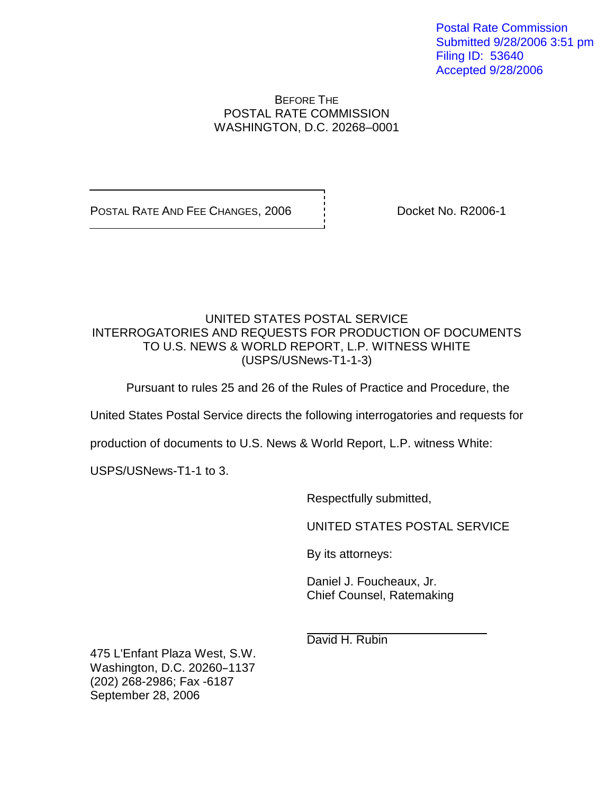Postal Rate Commission Submitted 9/28/2006 3:51 pm Filing ID: 53640 Accepted 9/28/2006

## BEFORE THE POSTAL RATE COMMISSION WASHINGTON, D.C. 20268–0001

POSTAL RATE AND FEE CHANGES, 2006 | Docket No. R2006-1

# UNITED STATES POSTAL SERVICE INTERROGATORIES AND REQUESTS FOR PRODUCTION OF DOCUMENTS TO U.S. NEWS & WORLD REPORT, L.P. WITNESS WHITE (USPS/USNews-T1-1-3)

Pursuant to rules 25 and 26 of the Rules of Practice and Procedure, the

United States Postal Service directs the following interrogatories and requests for

production of documents to U.S. News & World Report, L.P. witness White:

USPS/USNews-T1-1 to 3.

Respectfully submitted,

UNITED STATES POSTAL SERVICE

By its attorneys:

Daniel J. Foucheaux, Jr. Chief Counsel, Ratemaking

David H. Rubin

475 L'Enfant Plaza West, S.W. Washington, D.C. 20260-1137 (202) 268-2986; Fax -6187 September 28, 2006